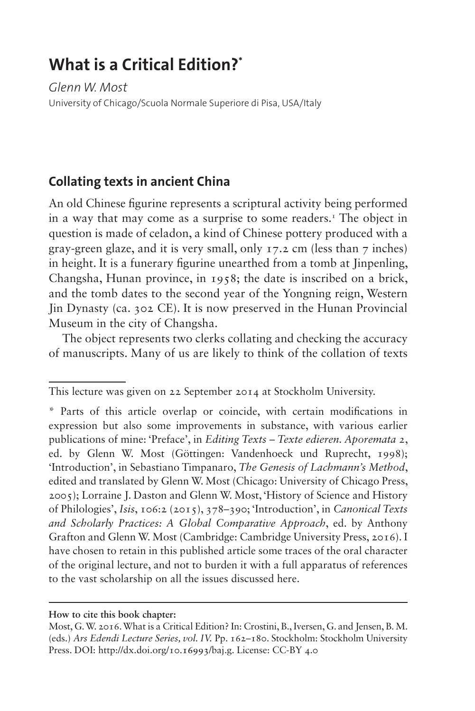# **What is a Critical Edition?\***

*Glenn W. Most* University of Chicago/Scuola Normale Superiore di Pisa, USA/Italy

## **Collating texts in ancient China**

An old Chinese figurine represents a scriptural activity being performed in a way that may come as a surprise to some readers.<sup>1</sup> The object in question is made of celadon, a kind of Chinese pottery produced with a gray-green glaze, and it is very small, only 17.2 cm (less than 7 inches) in height. It is a funerary figurine unearthed from a tomb at Jinpenling, Changsha, Hunan province, in 1958; the date is inscribed on a brick, and the tomb dates to the second year of the Yongning reign, Western Jin Dynasty (ca. 302 CE). It is now preserved in the Hunan Provincial Museum in the city of Changsha.

The object represents two clerks collating and checking the accuracy of manuscripts. Many of us are likely to think of the collation of texts

**How to cite this book chapter:**

This lecture was given on 22 September 2014 at Stockholm University.

<sup>\*</sup> Parts of this article overlap or coincide, with certain modifications in expression but also some improvements in substance, with various earlier publications of mine: 'Preface', in *Editing Texts – Texte edieren. Aporemata 2*, ed. by Glenn W. Most (Göttingen: Vandenhoeck und Ruprecht, 1998); 'Introduction', in Sebastiano Timpanaro, *The Genesis of Lachmann's Method*, edited and translated by Glenn W. Most (Chicago: University of Chicago Press, 2005); Lorraine J. Daston and Glenn W. Most, 'History of Science and History of Philologies', *Isis*, 106:2 (2015), 378–390; 'Introduction', in *Canonical Texts and Scholarly Practices: A Global Comparative Approach*, ed. by Anthony Grafton and Glenn W. Most (Cambridge: Cambridge University Press, 2016). I have chosen to retain in this published article some traces of the oral character of the original lecture, and not to burden it with a full apparatus of references to the vast scholarship on all the issues discussed here.

Most, G. W. 2016. What is a Critical Edition? In: Crostini, B., Iversen, G. and Jensen, B. M. (eds.) *Ars Edendi Lecture Series, vol. IV.* Pp. 162–180. Stockholm: Stockholm University Press. DOI: <http://dx.doi.org/10.16993/baj.g>. License: CC-BY 4.0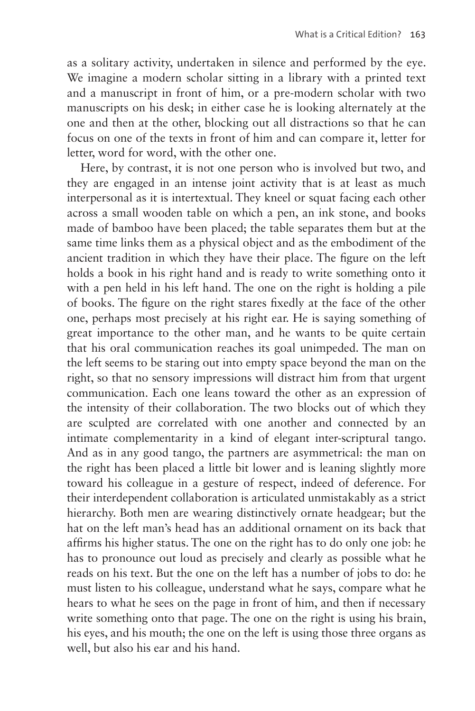as a solitary activity, undertaken in silence and performed by the eye. We imagine a modern scholar sitting in a library with a printed text and a manuscript in front of him, or a pre-modern scholar with two manuscripts on his desk; in either case he is looking alternately at the one and then at the other, blocking out all distractions so that he can focus on one of the texts in front of him and can compare it, letter for letter, word for word, with the other one.

Here, by contrast, it is not one person who is involved but two, and they are engaged in an intense joint activity that is at least as much interpersonal as it is intertextual. They kneel or squat facing each other across a small wooden table on which a pen, an ink stone, and books made of bamboo have been placed; the table separates them but at the same time links them as a physical object and as the embodiment of the ancient tradition in which they have their place. The figure on the left holds a book in his right hand and is ready to write something onto it with a pen held in his left hand. The one on the right is holding a pile of books. The figure on the right stares fixedly at the face of the other one, perhaps most precisely at his right ear. He is saying something of great importance to the other man, and he wants to be quite certain that his oral communication reaches its goal unimpeded. The man on the left seems to be staring out into empty space beyond the man on the right, so that no sensory impressions will distract him from that urgent communication. Each one leans toward the other as an expression of the intensity of their collaboration. The two blocks out of which they are sculpted are correlated with one another and connected by an intimate complementarity in a kind of elegant inter-scriptural tango. And as in any good tango, the partners are asymmetrical: the man on the right has been placed a little bit lower and is leaning slightly more toward his colleague in a gesture of respect, indeed of deference. For their interdependent collaboration is articulated unmistakably as a strict hierarchy. Both men are wearing distinctively ornate headgear; but the hat on the left man's head has an additional ornament on its back that affirms his higher status. The one on the right has to do only one job: he has to pronounce out loud as precisely and clearly as possible what he reads on his text. But the one on the left has a number of jobs to do: he must listen to his colleague, understand what he says, compare what he hears to what he sees on the page in front of him, and then if necessary write something onto that page. The one on the right is using his brain, his eyes, and his mouth; the one on the left is using those three organs as well, but also his ear and his hand.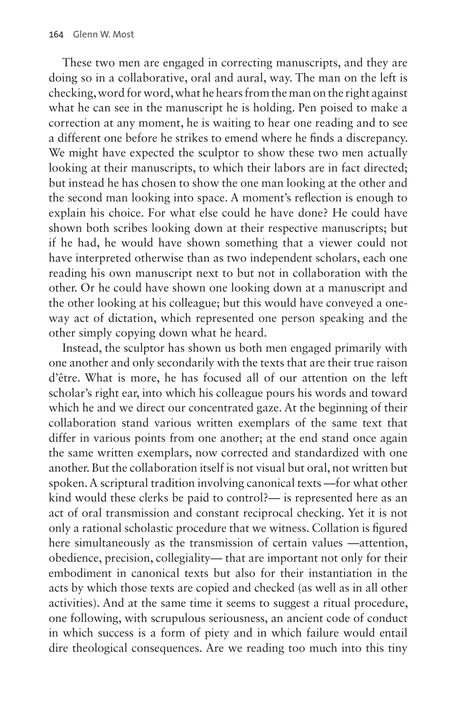These two men are engaged in correcting manuscripts, and they are doing so in a collaborative, oral and aural, way. The man on the left is checking, word for word, what he hears from the man on the right against what he can see in the manuscript he is holding. Pen poised to make a correction at any moment, he is waiting to hear one reading and to see a different one before he strikes to emend where he finds a discrepancy. We might have expected the sculptor to show these two men actually looking at their manuscripts, to which their labors are in fact directed; but instead he has chosen to show the one man looking at the other and the second man looking into space. A moment's reflection is enough to explain his choice. For what else could he have done? He could have shown both scribes looking down at their respective manuscripts; but if he had, he would have shown something that a viewer could not have interpreted otherwise than as two independent scholars, each one reading his own manuscript next to but not in collaboration with the other. Or he could have shown one looking down at a manuscript and the other looking at his colleague; but this would have conveyed a oneway act of dictation, which represented one person speaking and the other simply copying down what he heard.

Instead, the sculptor has shown us both men engaged primarily with one another and only secondarily with the texts that are their true raison d'être. What is more, he has focused all of our attention on the left scholar's right ear, into which his colleague pours his words and toward which he and we direct our concentrated gaze. At the beginning of their collaboration stand various written exemplars of the same text that differ in various points from one another; at the end stand once again the same written exemplars, now corrected and standardized with one another. But the collaboration itself is not visual but oral, not written but spoken. A scriptural tradition involving canonical texts —for what other kind would these clerks be paid to control?— is represented here as an act of oral transmission and constant reciprocal checking. Yet it is not only a rational scholastic procedure that we witness. Collation is figured here simultaneously as the transmission of certain values —attention, obedience, precision, collegiality— that are important not only for their embodiment in canonical texts but also for their instantiation in the acts by which those texts are copied and checked (as well as in all other activities). And at the same time it seems to suggest a ritual procedure, one following, with scrupulous seriousness, an ancient code of conduct in which success is a form of piety and in which failure would entail dire theological consequences. Are we reading too much into this tiny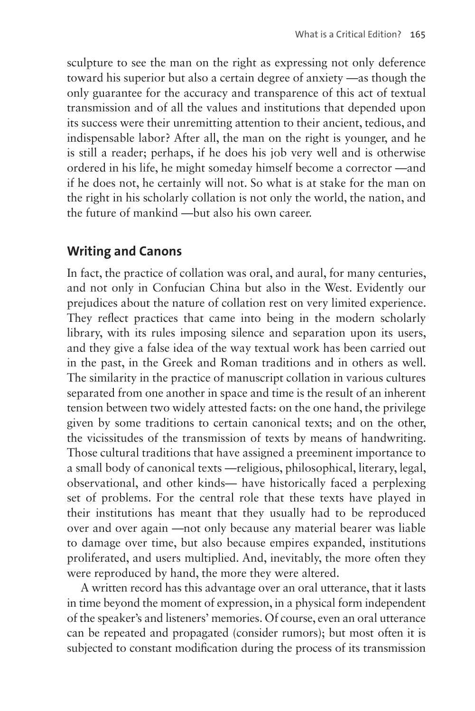sculpture to see the man on the right as expressing not only deference toward his superior but also a certain degree of anxiety —as though the only guarantee for the accuracy and transparence of this act of textual transmission and of all the values and institutions that depended upon its success were their unremitting attention to their ancient, tedious, and indispensable labor? After all, the man on the right is younger, and he is still a reader; perhaps, if he does his job very well and is otherwise ordered in his life, he might someday himself become a corrector —and if he does not, he certainly will not. So what is at stake for the man on the right in his scholarly collation is not only the world, the nation, and the future of mankind —but also his own career.

## **Writing and Canons**

In fact, the practice of collation was oral, and aural, for many centuries, and not only in Confucian China but also in the West. Evidently our prejudices about the nature of collation rest on very limited experience. They reflect practices that came into being in the modern scholarly library, with its rules imposing silence and separation upon its users, and they give a false idea of the way textual work has been carried out in the past, in the Greek and Roman traditions and in others as well. The similarity in the practice of manuscript collation in various cultures separated from one another in space and time is the result of an inherent tension between two widely attested facts: on the one hand, the privilege given by some traditions to certain canonical texts; and on the other, the vicissitudes of the transmission of texts by means of handwriting. Those cultural traditions that have assigned a preeminent importance to a small body of canonical texts —religious, philosophical, literary, legal, observational, and other kinds— have historically faced a perplexing set of problems. For the central role that these texts have played in their institutions has meant that they usually had to be reproduced over and over again —not only because any material bearer was liable to damage over time, but also because empires expanded, institutions proliferated, and users multiplied. And, inevitably, the more often they were reproduced by hand, the more they were altered.

A written record has this advantage over an oral utterance, that it lasts in time beyond the moment of expression, in a physical form independent of the speaker's and listeners' memories. Of course, even an oral utterance can be repeated and propagated (consider rumors); but most often it is subjected to constant modification during the process of its transmission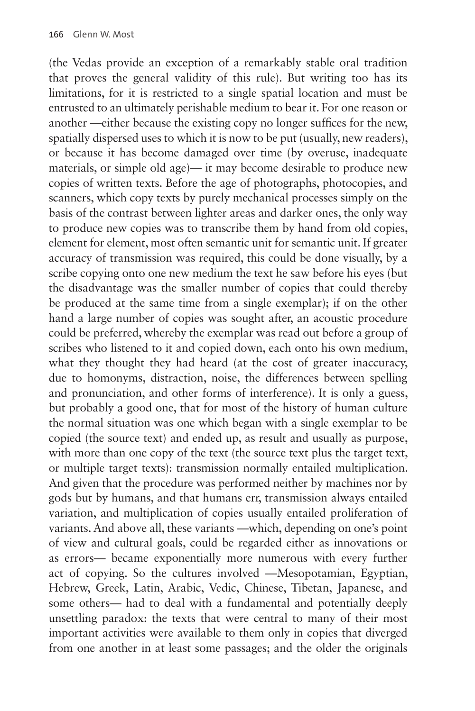(the Vedas provide an exception of a remarkably stable oral tradition that proves the general validity of this rule). But writing too has its limitations, for it is restricted to a single spatial location and must be entrusted to an ultimately perishable medium to bear it. For one reason or another —either because the existing copy no longer suffices for the new, spatially dispersed uses to which it is now to be put (usually, new readers), or because it has become damaged over time (by overuse, inadequate materials, or simple old age)— it may become desirable to produce new copies of written texts. Before the age of photographs, photocopies, and scanners, which copy texts by purely mechanical processes simply on the basis of the contrast between lighter areas and darker ones, the only way to produce new copies was to transcribe them by hand from old copies, element for element, most often semantic unit for semantic unit. If greater accuracy of transmission was required, this could be done visually, by a scribe copying onto one new medium the text he saw before his eyes (but the disadvantage was the smaller number of copies that could thereby be produced at the same time from a single exemplar); if on the other hand a large number of copies was sought after, an acoustic procedure could be preferred, whereby the exemplar was read out before a group of scribes who listened to it and copied down, each onto his own medium, what they thought they had heard (at the cost of greater inaccuracy, due to homonyms, distraction, noise, the differences between spelling and pronunciation, and other forms of interference). It is only a guess, but probably a good one, that for most of the history of human culture the normal situation was one which began with a single exemplar to be copied (the source text) and ended up, as result and usually as purpose, with more than one copy of the text (the source text plus the target text, or multiple target texts): transmission normally entailed multiplication. And given that the procedure was performed neither by machines nor by gods but by humans, and that humans err, transmission always entailed variation, and multiplication of copies usually entailed proliferation of variants. And above all, these variants —which, depending on one's point of view and cultural goals, could be regarded either as innovations or as errors— became exponentially more numerous with every further act of copying. So the cultures involved —Mesopotamian, Egyptian, Hebrew, Greek, Latin, Arabic, Vedic, Chinese, Tibetan, Japanese, and some others— had to deal with a fundamental and potentially deeply unsettling paradox: the texts that were central to many of their most important activities were available to them only in copies that diverged from one another in at least some passages; and the older the originals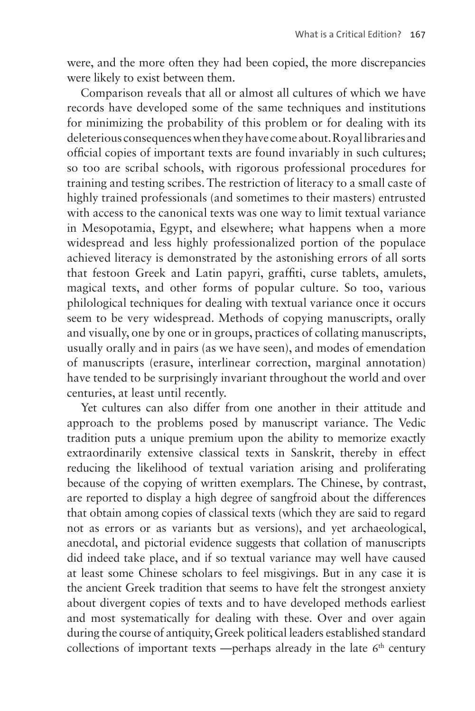were, and the more often they had been copied, the more discrepancies were likely to exist between them.

Comparison reveals that all or almost all cultures of which we have records have developed some of the same techniques and institutions for minimizing the probability of this problem or for dealing with its deleterious consequences when they have come about. Royal libraries and official copies of important texts are found invariably in such cultures; so too are scribal schools, with rigorous professional procedures for training and testing scribes. The restriction of literacy to a small caste of highly trained professionals (and sometimes to their masters) entrusted with access to the canonical texts was one way to limit textual variance in Mesopotamia, Egypt, and elsewhere; what happens when a more widespread and less highly professionalized portion of the populace achieved literacy is demonstrated by the astonishing errors of all sorts that festoon Greek and Latin papyri, graffiti, curse tablets, amulets, magical texts, and other forms of popular culture. So too, various philological techniques for dealing with textual variance once it occurs seem to be very widespread. Methods of copying manuscripts, orally and visually, one by one or in groups, practices of collating manuscripts, usually orally and in pairs (as we have seen), and modes of emendation of manuscripts (erasure, interlinear correction, marginal annotation) have tended to be surprisingly invariant throughout the world and over centuries, at least until recently.

Yet cultures can also differ from one another in their attitude and approach to the problems posed by manuscript variance. The Vedic tradition puts a unique premium upon the ability to memorize exactly extraordinarily extensive classical texts in Sanskrit, thereby in effect reducing the likelihood of textual variation arising and proliferating because of the copying of written exemplars. The Chinese, by contrast, are reported to display a high degree of sangfroid about the differences that obtain among copies of classical texts (which they are said to regard not as errors or as variants but as versions), and yet archaeological, anecdotal, and pictorial evidence suggests that collation of manuscripts did indeed take place, and if so textual variance may well have caused at least some Chinese scholars to feel misgivings. But in any case it is the ancient Greek tradition that seems to have felt the strongest anxiety about divergent copies of texts and to have developed methods earliest and most systematically for dealing with these. Over and over again during the course of antiquity, Greek political leaders established standard collections of important texts —perhaps already in the late  $6<sup>th</sup>$  century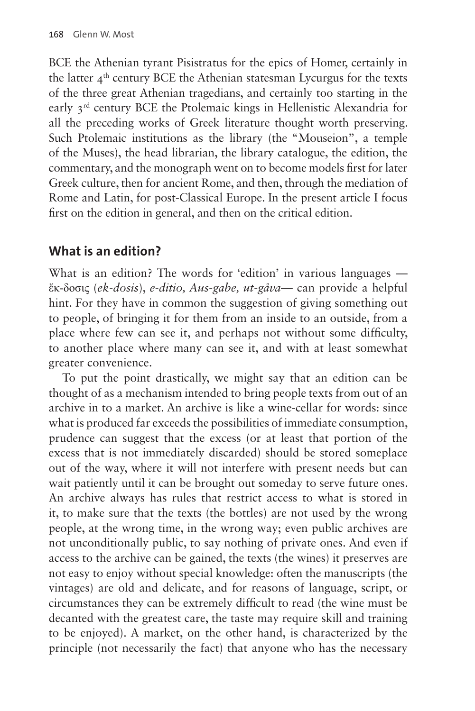BCE the Athenian tyrant Pisistratus for the epics of Homer, certainly in the latter 4<sup>th</sup> century BCE the Athenian statesman Lycurgus for the texts of the three great Athenian tragedians, and certainly too starting in the early 3rd century BCE the Ptolemaic kings in Hellenistic Alexandria for all the preceding works of Greek literature thought worth preserving. Such Ptolemaic institutions as the library (the "Mouseion", a temple of the Muses), the head librarian, the library catalogue, the edition, the commentary, and the monograph went on to become models first for later Greek culture, then for ancient Rome, and then, through the mediation of Rome and Latin, for post-Classical Europe. In the present article I focus first on the edition in general, and then on the critical edition.

# **What is an edition?**

What is an edition? The words for 'edition' in various languages ἔκ-δοσις (*ek-dosis*), *e-ditio, Aus-gabe, ut-gåva*— can provide a helpful hint. For they have in common the suggestion of giving something out to people, of bringing it for them from an inside to an outside, from a place where few can see it, and perhaps not without some difficulty, to another place where many can see it, and with at least somewhat greater convenience.

To put the point drastically, we might say that an edition can be thought of as a mechanism intended to bring people texts from out of an archive in to a market. An archive is like a wine-cellar for words: since what is produced far exceeds the possibilities of immediate consumption, prudence can suggest that the excess (or at least that portion of the excess that is not immediately discarded) should be stored someplace out of the way, where it will not interfere with present needs but can wait patiently until it can be brought out someday to serve future ones. An archive always has rules that restrict access to what is stored in it, to make sure that the texts (the bottles) are not used by the wrong people, at the wrong time, in the wrong way; even public archives are not unconditionally public, to say nothing of private ones. And even if access to the archive can be gained, the texts (the wines) it preserves are not easy to enjoy without special knowledge: often the manuscripts (the vintages) are old and delicate, and for reasons of language, script, or circumstances they can be extremely difficult to read (the wine must be decanted with the greatest care, the taste may require skill and training to be enjoyed). A market, on the other hand, is characterized by the principle (not necessarily the fact) that anyone who has the necessary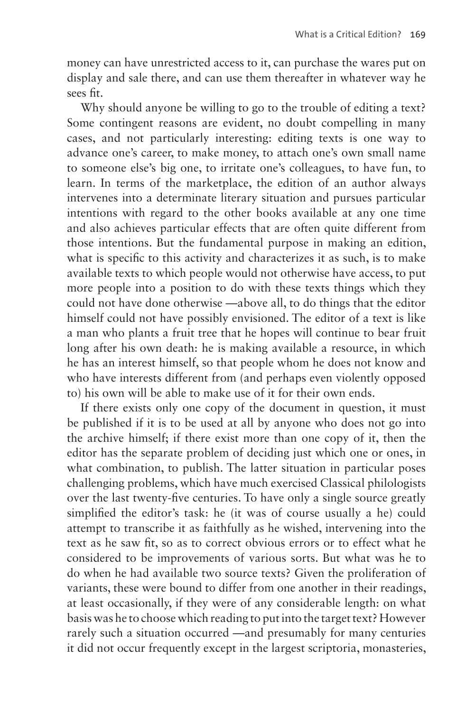money can have unrestricted access to it, can purchase the wares put on display and sale there, and can use them thereafter in whatever way he sees fit.

Why should anyone be willing to go to the trouble of editing a text? Some contingent reasons are evident, no doubt compelling in many cases, and not particularly interesting: editing texts is one way to advance one's career, to make money, to attach one's own small name to someone else's big one, to irritate one's colleagues, to have fun, to learn. In terms of the marketplace, the edition of an author always intervenes into a determinate literary situation and pursues particular intentions with regard to the other books available at any one time and also achieves particular effects that are often quite different from those intentions. But the fundamental purpose in making an edition, what is specific to this activity and characterizes it as such, is to make available texts to which people would not otherwise have access, to put more people into a position to do with these texts things which they could not have done otherwise —above all, to do things that the editor himself could not have possibly envisioned. The editor of a text is like a man who plants a fruit tree that he hopes will continue to bear fruit long after his own death: he is making available a resource, in which he has an interest himself, so that people whom he does not know and who have interests different from (and perhaps even violently opposed to) his own will be able to make use of it for their own ends.

If there exists only one copy of the document in question, it must be published if it is to be used at all by anyone who does not go into the archive himself; if there exist more than one copy of it, then the editor has the separate problem of deciding just which one or ones, in what combination, to publish. The latter situation in particular poses challenging problems, which have much exercised Classical philologists over the last twenty-five centuries. To have only a single source greatly simplified the editor's task: he (it was of course usually a he) could attempt to transcribe it as faithfully as he wished, intervening into the text as he saw fit, so as to correct obvious errors or to effect what he considered to be improvements of various sorts. But what was he to do when he had available two source texts? Given the proliferation of variants, these were bound to differ from one another in their readings, at least occasionally, if they were of any considerable length: on what basis was he to choose which reading to put into the target text? However rarely such a situation occurred —and presumably for many centuries it did not occur frequently except in the largest scriptoria, monasteries,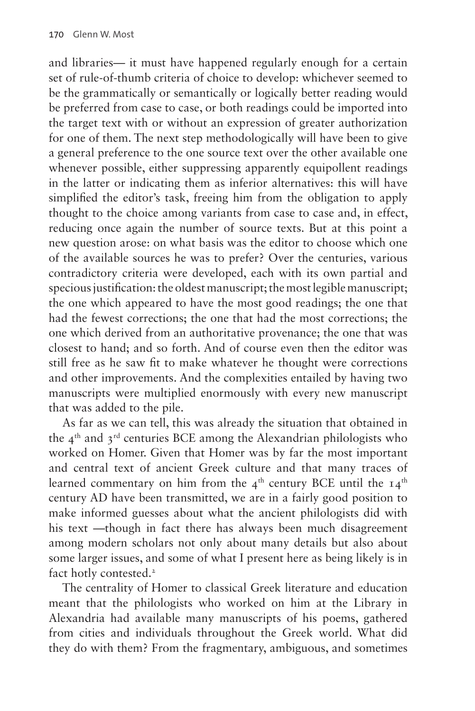and libraries— it must have happened regularly enough for a certain set of rule-of-thumb criteria of choice to develop: whichever seemed to be the grammatically or semantically or logically better reading would be preferred from case to case, or both readings could be imported into the target text with or without an expression of greater authorization for one of them. The next step methodologically will have been to give a general preference to the one source text over the other available one whenever possible, either suppressing apparently equipollent readings in the latter or indicating them as inferior alternatives: this will have simplified the editor's task, freeing him from the obligation to apply thought to the choice among variants from case to case and, in effect, reducing once again the number of source texts. But at this point a new question arose: on what basis was the editor to choose which one of the available sources he was to prefer? Over the centuries, various contradictory criteria were developed, each with its own partial and specious justification: the oldest manuscript; the most legible manuscript; the one which appeared to have the most good readings; the one that had the fewest corrections; the one that had the most corrections; the one which derived from an authoritative provenance; the one that was closest to hand; and so forth. And of course even then the editor was still free as he saw fit to make whatever he thought were corrections and other improvements. And the complexities entailed by having two manuscripts were multiplied enormously with every new manuscript that was added to the pile.

As far as we can tell, this was already the situation that obtained in the 4th and 3rd centuries BCE among the Alexandrian philologists who worked on Homer. Given that Homer was by far the most important and central text of ancient Greek culture and that many traces of learned commentary on him from the  $4<sup>th</sup>$  century BCE until the  $14<sup>th</sup>$ century AD have been transmitted, we are in a fairly good position to make informed guesses about what the ancient philologists did with his text —though in fact there has always been much disagreement among modern scholars not only about many details but also about some larger issues, and some of what I present here as being likely is in fact hotly contested.<sup>2</sup>

The centrality of Homer to classical Greek literature and education meant that the philologists who worked on him at the Library in Alexandria had available many manuscripts of his poems, gathered from cities and individuals throughout the Greek world. What did they do with them? From the fragmentary, ambiguous, and sometimes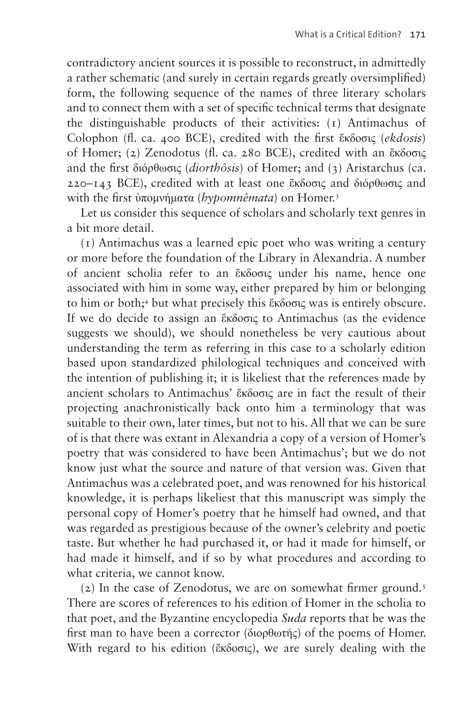contradictory ancient sources it is possible to reconstruct, in admittedly a rather schematic (and surely in certain regards greatly oversimplified) form, the following sequence of the names of three literary scholars and to connect them with a set of specific technical terms that designate the distinguishable products of their activities: (1) Antimachus of Colophon (fl. ca. 400 BCE), credited with the first ἔκδοσις (*ekdosis*) of Homer; (2) Zenodotus (fl. ca. 280 BCE), credited with an ἔκδοσις and the first διόρθωσις (*diorthôsis*) of Homer; and (3) Aristarchus (ca. 220–143 BCE), credited with at least one ἔκδοσις and διόρθωσις and with the first ὑπομνήματα (*hypomnêmata*) on Homer.3

Let us consider this sequence of scholars and scholarly text genres in a bit more detail.

(1) Antimachus was a learned epic poet who was writing a century or more before the foundation of the Library in Alexandria. A number of ancient scholia refer to an ἔκδοσις under his name, hence one associated with him in some way, either prepared by him or belonging to him or both;4 but what precisely this ἔκδοσις was is entirely obscure. If we do decide to assign an ἔκδοσις to Antimachus (as the evidence suggests we should), we should nonetheless be very cautious about understanding the term as referring in this case to a scholarly edition based upon standardized philological techniques and conceived with the intention of publishing it; it is likeliest that the references made by ancient scholars to Antimachus' ἔκδοσις are in fact the result of their projecting anachronistically back onto him a terminology that was suitable to their own, later times, but not to his. All that we can be sure of is that there was extant in Alexandria a copy of a version of Homer's poetry that was considered to have been Antimachus'; but we do not know just what the source and nature of that version was. Given that Antimachus was a celebrated poet, and was renowned for his historical knowledge, it is perhaps likeliest that this manuscript was simply the personal copy of Homer's poetry that he himself had owned, and that was regarded as prestigious because of the owner's celebrity and poetic taste. But whether he had purchased it, or had it made for himself, or had made it himself, and if so by what procedures and according to what criteria, we cannot know.

(2) In the case of Zenodotus, we are on somewhat firmer ground.<sup>5</sup> There are scores of references to his edition of Homer in the scholia to that poet, and the Byzantine encyclopedia *Suda* reports that he was the first man to have been a corrector (διορθωτής) of the poems of Homer. With regard to his edition (ἔκδοσις), we are surely dealing with the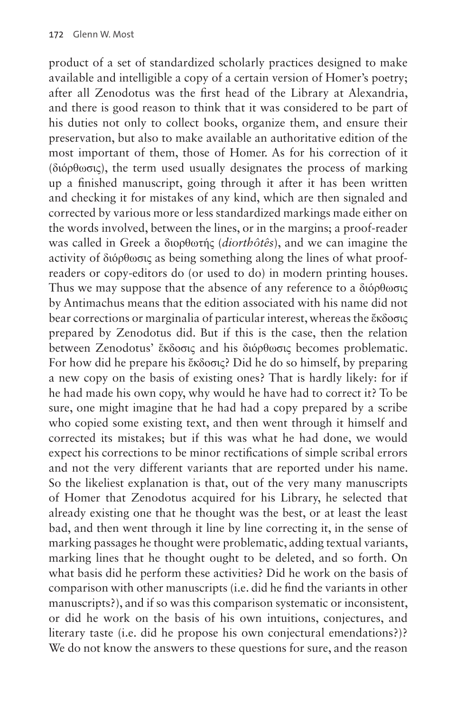product of a set of standardized scholarly practices designed to make available and intelligible a copy of a certain version of Homer's poetry; after all Zenodotus was the first head of the Library at Alexandria, and there is good reason to think that it was considered to be part of his duties not only to collect books, organize them, and ensure their preservation, but also to make available an authoritative edition of the most important of them, those of Homer. As for his correction of it (διόρθωσις), the term used usually designates the process of marking up a finished manuscript, going through it after it has been written and checking it for mistakes of any kind, which are then signaled and corrected by various more or less standardized markings made either on the words involved, between the lines, or in the margins; a proof-reader was called in Greek a διορθωτής (*diorthôtês*), and we can imagine the activity of διόρθωσις as being something along the lines of what proofreaders or copy-editors do (or used to do) in modern printing houses. Thus we may suppose that the absence of any reference to a διόρθωσις by Antimachus means that the edition associated with his name did not bear corrections or marginalia of particular interest, whereas the ἔκδοσις prepared by Zenodotus did. But if this is the case, then the relation between Zenodotus' ἔκδοσις and his διόρθωσις becomes problematic. For how did he prepare his ἔκδοσις? Did he do so himself, by preparing a new copy on the basis of existing ones? That is hardly likely: for if he had made his own copy, why would he have had to correct it? To be sure, one might imagine that he had had a copy prepared by a scribe who copied some existing text, and then went through it himself and corrected its mistakes; but if this was what he had done, we would expect his corrections to be minor rectifications of simple scribal errors and not the very different variants that are reported under his name. So the likeliest explanation is that, out of the very many manuscripts of Homer that Zenodotus acquired for his Library, he selected that already existing one that he thought was the best, or at least the least bad, and then went through it line by line correcting it, in the sense of marking passages he thought were problematic, adding textual variants, marking lines that he thought ought to be deleted, and so forth. On what basis did he perform these activities? Did he work on the basis of comparison with other manuscripts (i.e. did he find the variants in other manuscripts?), and if so was this comparison systematic or inconsistent, or did he work on the basis of his own intuitions, conjectures, and literary taste (i.e. did he propose his own conjectural emendations?)? We do not know the answers to these questions for sure, and the reason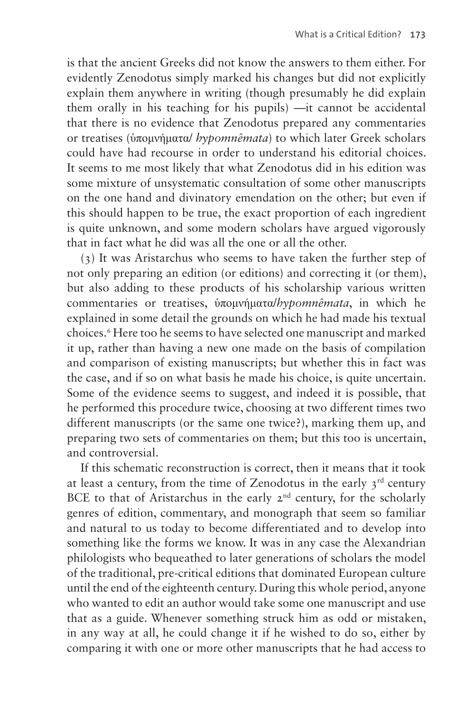is that the ancient Greeks did not know the answers to them either. For evidently Zenodotus simply marked his changes but did not explicitly explain them anywhere in writing (though presumably he did explain them orally in his teaching for his pupils) —it cannot be accidental that there is no evidence that Zenodotus prepared any commentaries or treatises (ὑπομνήματα/ *hypomnêmata*) to which later Greek scholars could have had recourse in order to understand his editorial choices. It seems to me most likely that what Zenodotus did in his edition was some mixture of unsystematic consultation of some other manuscripts on the one hand and divinatory emendation on the other; but even if this should happen to be true, the exact proportion of each ingredient is quite unknown, and some modern scholars have argued vigorously that in fact what he did was all the one or all the other.

(3) It was Aristarchus who seems to have taken the further step of not only preparing an edition (or editions) and correcting it (or them), but also adding to these products of his scholarship various written commentaries or treatises, ὑπομνήματα/*hypomnêmata*, in which he explained in some detail the grounds on which he had made his textual choices.6 Here too he seems to have selected one manuscript and marked it up, rather than having a new one made on the basis of compilation and comparison of existing manuscripts; but whether this in fact was the case, and if so on what basis he made his choice, is quite uncertain. Some of the evidence seems to suggest, and indeed it is possible, that he performed this procedure twice, choosing at two different times two different manuscripts (or the same one twice?), marking them up, and preparing two sets of commentaries on them; but this too is uncertain, and controversial.

If this schematic reconstruction is correct, then it means that it took at least a century, from the time of Zenodotus in the early  $3^{rd}$  century BCE to that of Aristarchus in the early  $2<sup>nd</sup>$  century, for the scholarly genres of edition, commentary, and monograph that seem so familiar and natural to us today to become differentiated and to develop into something like the forms we know. It was in any case the Alexandrian philologists who bequeathed to later generations of scholars the model of the traditional, pre-critical editions that dominated European culture until the end of the eighteenth century. During this whole period, anyone who wanted to edit an author would take some one manuscript and use that as a guide. Whenever something struck him as odd or mistaken, in any way at all, he could change it if he wished to do so, either by comparing it with one or more other manuscripts that he had access to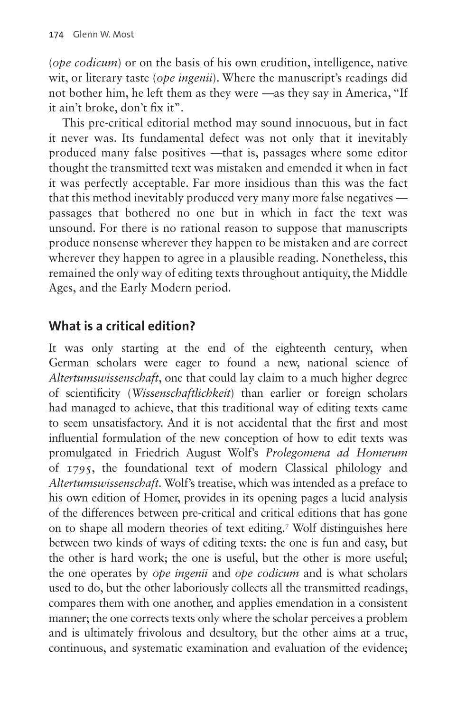(*ope codicum*) or on the basis of his own erudition, intelligence, native wit, or literary taste (*ope ingenii*). Where the manuscript's readings did not bother him, he left them as they were —as they say in America, "If it ain't broke, don't fix it".

This pre-critical editorial method may sound innocuous, but in fact it never was. Its fundamental defect was not only that it inevitably produced many false positives —that is, passages where some editor thought the transmitted text was mistaken and emended it when in fact it was perfectly acceptable. Far more insidious than this was the fact that this method inevitably produced very many more false negatives passages that bothered no one but in which in fact the text was unsound. For there is no rational reason to suppose that manuscripts produce nonsense wherever they happen to be mistaken and are correct wherever they happen to agree in a plausible reading. Nonetheless, this remained the only way of editing texts throughout antiquity, the Middle Ages, and the Early Modern period.

# **What is a critical edition?**

It was only starting at the end of the eighteenth century, when German scholars were eager to found a new, national science of *Altertumswissenschaft*, one that could lay claim to a much higher degree of scientificity (*Wissenschaftlichkeit*) than earlier or foreign scholars had managed to achieve, that this traditional way of editing texts came to seem unsatisfactory. And it is not accidental that the first and most influential formulation of the new conception of how to edit texts was promulgated in Friedrich August Wolf's *Prolegomena ad Homerum* of 1795, the foundational text of modern Classical philology and *Altertumswissenschaft.* Wolf's treatise, which was intended as a preface to his own edition of Homer, provides in its opening pages a lucid analysis of the differences between pre-critical and critical editions that has gone on to shape all modern theories of text editing.7 Wolf distinguishes here between two kinds of ways of editing texts: the one is fun and easy, but the other is hard work; the one is useful, but the other is more useful; the one operates by *ope ingenii* and *ope codicum* and is what scholars used to do, but the other laboriously collects all the transmitted readings, compares them with one another, and applies emendation in a consistent manner; the one corrects texts only where the scholar perceives a problem and is ultimately frivolous and desultory, but the other aims at a true, continuous, and systematic examination and evaluation of the evidence;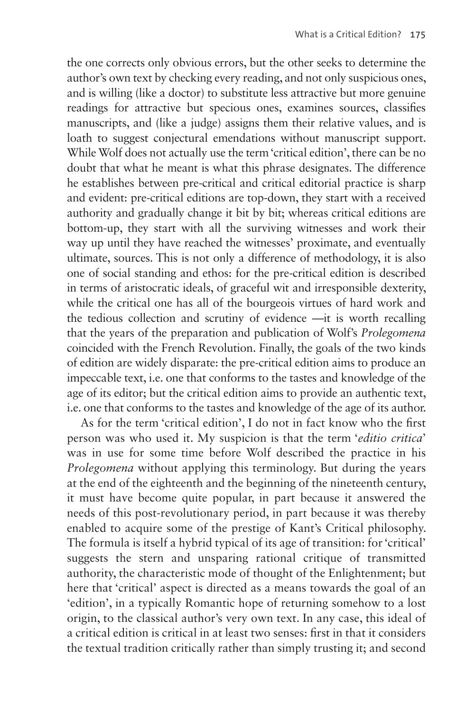the one corrects only obvious errors, but the other seeks to determine the author's own text by checking every reading, and not only suspicious ones, and is willing (like a doctor) to substitute less attractive but more genuine readings for attractive but specious ones, examines sources, classifies manuscripts, and (like a judge) assigns them their relative values, and is loath to suggest conjectural emendations without manuscript support. While Wolf does not actually use the term 'critical edition', there can be no doubt that what he meant is what this phrase designates. The difference he establishes between pre-critical and critical editorial practice is sharp and evident: pre-critical editions are top-down, they start with a received authority and gradually change it bit by bit; whereas critical editions are bottom-up, they start with all the surviving witnesses and work their way up until they have reached the witnesses' proximate, and eventually ultimate, sources. This is not only a difference of methodology, it is also one of social standing and ethos: for the pre-critical edition is described in terms of aristocratic ideals, of graceful wit and irresponsible dexterity, while the critical one has all of the bourgeois virtues of hard work and the tedious collection and scrutiny of evidence —it is worth recalling that the years of the preparation and publication of Wolf's *Prolegomena* coincided with the French Revolution. Finally, the goals of the two kinds of edition are widely disparate: the pre-critical edition aims to produce an impeccable text, i.e. one that conforms to the tastes and knowledge of the age of its editor; but the critical edition aims to provide an authentic text, i.e. one that conforms to the tastes and knowledge of the age of its author.

As for the term 'critical edition', I do not in fact know who the first person was who used it. My suspicion is that the term '*editio critica*' was in use for some time before Wolf described the practice in his *Prolegomena* without applying this terminology. But during the years at the end of the eighteenth and the beginning of the nineteenth century, it must have become quite popular, in part because it answered the needs of this post-revolutionary period, in part because it was thereby enabled to acquire some of the prestige of Kant's Critical philosophy. The formula is itself a hybrid typical of its age of transition: for 'critical' suggests the stern and unsparing rational critique of transmitted authority, the characteristic mode of thought of the Enlightenment; but here that 'critical' aspect is directed as a means towards the goal of an 'edition', in a typically Romantic hope of returning somehow to a lost origin, to the classical author's very own text. In any case, this ideal of a critical edition is critical in at least two senses: first in that it considers the textual tradition critically rather than simply trusting it; and second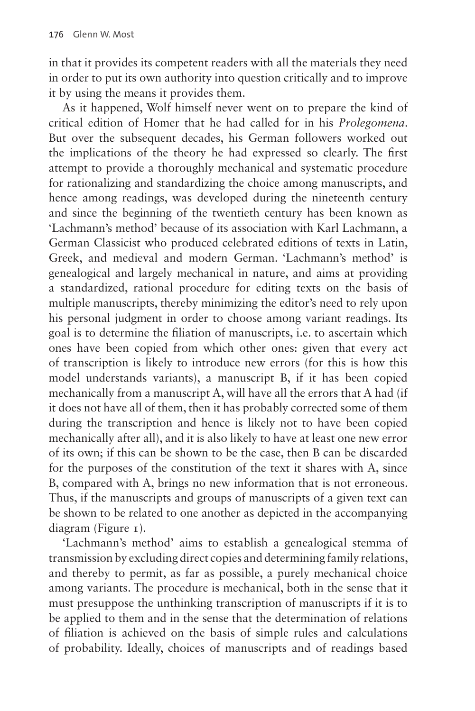in that it provides its competent readers with all the materials they need in order to put its own authority into question critically and to improve it by using the means it provides them.

As it happened, Wolf himself never went on to prepare the kind of critical edition of Homer that he had called for in his *Prolegomena*. But over the subsequent decades, his German followers worked out the implications of the theory he had expressed so clearly. The first attempt to provide a thoroughly mechanical and systematic procedure for rationalizing and standardizing the choice among manuscripts, and hence among readings, was developed during the nineteenth century and since the beginning of the twentieth century has been known as 'Lachmann's method' because of its association with Karl Lachmann, a German Classicist who produced celebrated editions of texts in Latin, Greek, and medieval and modern German. 'Lachmann's method' is genealogical and largely mechanical in nature, and aims at providing a standardized, rational procedure for editing texts on the basis of multiple manuscripts, thereby minimizing the editor's need to rely upon his personal judgment in order to choose among variant readings. Its goal is to determine the filiation of manuscripts, i.e. to ascertain which ones have been copied from which other ones: given that every act of transcription is likely to introduce new errors (for this is how this model understands variants), a manuscript B, if it has been copied mechanically from a manuscript A, will have all the errors that A had (if it does not have all of them, then it has probably corrected some of them during the transcription and hence is likely not to have been copied mechanically after all), and it is also likely to have at least one new error of its own; if this can be shown to be the case, then B can be discarded for the purposes of the constitution of the text it shares with A, since B, compared with A, brings no new information that is not erroneous. Thus, if the manuscripts and groups of manuscripts of a given text can be shown to be related to one another as depicted in the accompanying diagram ([Figure 1\)](#page-15-0).

'Lachmann's method' aims to establish a genealogical stemma of transmission by excluding direct copies and determining family relations, and thereby to permit, as far as possible, a purely mechanical choice among variants. The procedure is mechanical, both in the sense that it must presuppose the unthinking transcription of manuscripts if it is to be applied to them and in the sense that the determination of relations of filiation is achieved on the basis of simple rules and calculations of probability. Ideally, choices of manuscripts and of readings based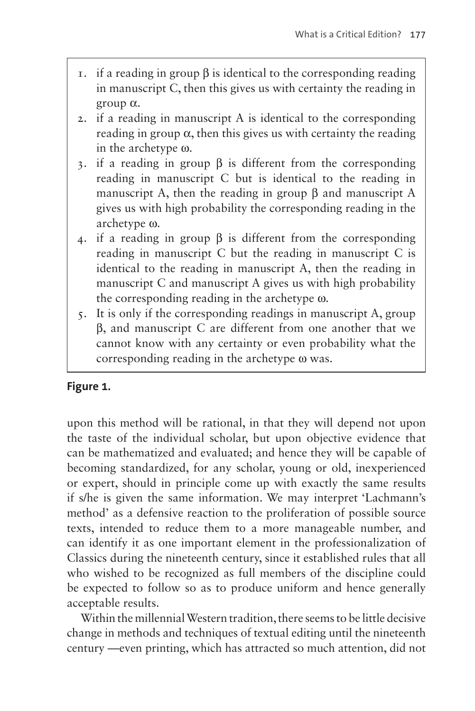- 1. if a reading in group β is identical to the corresponding reading in manuscript C, then this gives us with certainty the reading in group α.
- 2. if a reading in manuscript A is identical to the corresponding reading in group  $\alpha$ , then this gives us with certainty the reading in the archetype ω.
- 3. if a reading in group β is different from the corresponding reading in manuscript C but is identical to the reading in manuscript A, then the reading in group β and manuscript A gives us with high probability the corresponding reading in the archetype ω.
- 4. if a reading in group β is different from the corresponding reading in manuscript C but the reading in manuscript C is identical to the reading in manuscript A, then the reading in manuscript C and manuscript A gives us with high probability the corresponding reading in the archetype ω.
- 5. It is only if the corresponding readings in manuscript A, group β, and manuscript C are different from one another that we cannot know with any certainty or even probability what the corresponding reading in the archetype ω was.

#### <span id="page-15-0"></span>**Figure 1.**

upon this method will be rational, in that they will depend not upon the taste of the individual scholar, but upon objective evidence that can be mathematized and evaluated; and hence they will be capable of becoming standardized, for any scholar, young or old, inexperienced or expert, should in principle come up with exactly the same results if s/he is given the same information. We may interpret 'Lachmann's method' as a defensive reaction to the proliferation of possible source texts, intended to reduce them to a more manageable number, and can identify it as one important element in the professionalization of Classics during the nineteenth century, since it established rules that all who wished to be recognized as full members of the discipline could be expected to follow so as to produce uniform and hence generally acceptable results.

Within the millennial Western tradition, there seems to be little decisive change in methods and techniques of textual editing until the nineteenth century —even printing, which has attracted so much attention, did not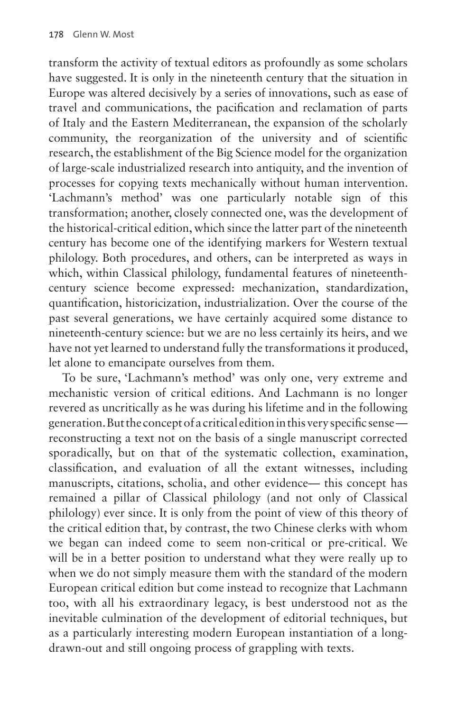transform the activity of textual editors as profoundly as some scholars have suggested. It is only in the nineteenth century that the situation in Europe was altered decisively by a series of innovations, such as ease of travel and communications, the pacification and reclamation of parts of Italy and the Eastern Mediterranean, the expansion of the scholarly community, the reorganization of the university and of scientific research, the establishment of the Big Science model for the organization of large-scale industrialized research into antiquity, and the invention of processes for copying texts mechanically without human intervention. 'Lachmann's method' was one particularly notable sign of this transformation; another, closely connected one, was the development of the historical-critical edition, which since the latter part of the nineteenth century has become one of the identifying markers for Western textual philology. Both procedures, and others, can be interpreted as ways in which, within Classical philology, fundamental features of nineteenthcentury science become expressed: mechanization, standardization, quantification, historicization, industrialization. Over the course of the past several generations, we have certainly acquired some distance to nineteenth-century science: but we are no less certainly its heirs, and we have not yet learned to understand fully the transformations it produced, let alone to emancipate ourselves from them.

To be sure, 'Lachmann's method' was only one, very extreme and mechanistic version of critical editions. And Lachmann is no longer revered as uncritically as he was during his lifetime and in the following generation. But the concept of a critical edition in this very specific sense reconstructing a text not on the basis of a single manuscript corrected sporadically, but on that of the systematic collection, examination, classification, and evaluation of all the extant witnesses, including manuscripts, citations, scholia, and other evidence— this concept has remained a pillar of Classical philology (and not only of Classical philology) ever since. It is only from the point of view of this theory of the critical edition that, by contrast, the two Chinese clerks with whom we began can indeed come to seem non-critical or pre-critical. We will be in a better position to understand what they were really up to when we do not simply measure them with the standard of the modern European critical edition but come instead to recognize that Lachmann too, with all his extraordinary legacy, is best understood not as the inevitable culmination of the development of editorial techniques, but as a particularly interesting modern European instantiation of a longdrawn-out and still ongoing process of grappling with texts.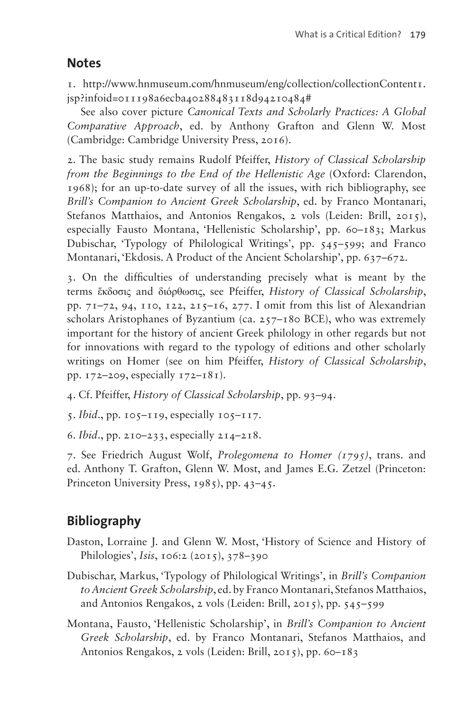#### **Notes**

1. [http://www.hnmuseum.com/hnmuseum/eng/collection/collectionContent1.](http://www.hnmuseum.com/hnmuseum/eng/collection/collectionContent1.jsp?infoid=011198a6ecba40288483118d94210484) [jsp?infoid=011198a6ecba40288483118d94210484#](http://www.hnmuseum.com/hnmuseum/eng/collection/collectionContent1.jsp?infoid=011198a6ecba40288483118d94210484)

See also cover picture *Canonical Texts and Scholarly Practices: A Global Comparative Approach*, ed. by Anthony Grafton and Glenn W. Most (Cambridge: Cambridge University Press, 2016).

2. The basic study remains Rudolf Pfeiffer, *History of Classical Scholarship from the Beginnings to the End of the Hellenistic Age* (Oxford: Clarendon, 1968); for an up-to-date survey of all the issues, with rich bibliography, see *Brill's Companion to Ancient Greek Scholarship*, ed. by Franco Montanari, Stefanos Matthaios, and Antonios Rengakos, 2 vols (Leiden: Brill, 2015), especially Fausto Montana, 'Hellenistic Scholarship', pp. 60–183; Markus Dubischar, 'Typology of Philological Writings', pp. 545–599; and Franco Montanari, 'Ekdosis. A Product of the Ancient Scholarship', pp. 637–672.

3. On the difficulties of understanding precisely what is meant by the terms ἔκδοσις and διόρθωσις, see Pfeiffer, *History of Classical Scholarship*, pp. 71–72, 94, 110, 122, 215–16, 277. I omit from this list of Alexandrian scholars Aristophanes of Byzantium (ca.  $257-\text{18}$  BCE), who was extremely important for the history of ancient Greek philology in other regards but not for innovations with regard to the typology of editions and other scholarly writings on Homer (see on him Pfeiffer, *History of Classical Scholarship*, pp. 172–209, especially 172–181).

- 4. Cf. Pfeiffer, *History of Classical Scholarship*, pp. 93–94.
- 5. *Ibid.*, pp.  $105 119$ , especially  $105 117$ .
- 6. *Ibid*., pp. 210–233, especially 214–218.

7. See Friedrich August Wolf, *Prolegomena to Homer (1795)*, trans. and ed. Anthony T. Grafton, Glenn W. Most, and James E.G. Zetzel (Princeton: Princeton University Press, 1985), pp. 43-45.

# **Bibliography**

- Daston, Lorraine J. and Glenn W. Most, 'History of Science and History of Philologies', *Isis*, 106:2 (2015), 378–390
- Dubischar, Markus, 'Typology of Philological Writings', in *Brill's Companion to Ancient Greek Scholarship*, ed. by Franco Montanari, Stefanos Matthaios, and Antonios Rengakos, 2 vols (Leiden: Brill, 2015), pp. 545–599
- Montana, Fausto, 'Hellenistic Scholarship', in *Brill's Companion to Ancient Greek Scholarship*, ed. by Franco Montanari, Stefanos Matthaios, and Antonios Rengakos, 2 vols (Leiden: Brill, 2015), pp. 60–183